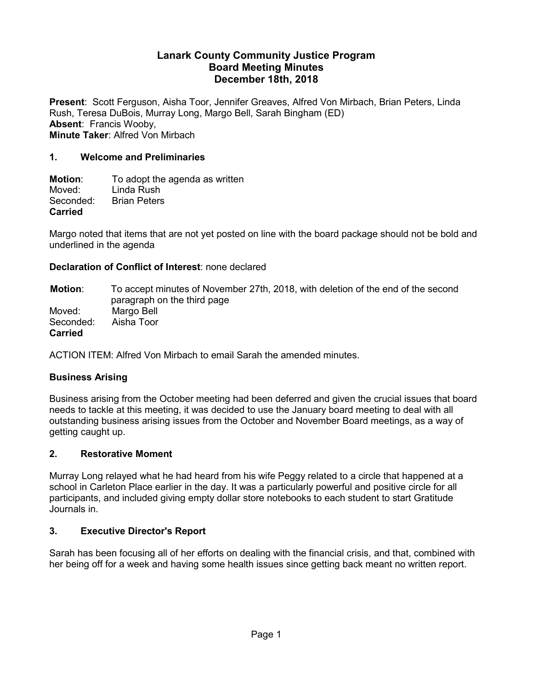#### **Lanark County Community Justice Program Board Meeting Minutes December 18th, 2018**

**Present**: Scott Ferguson, Aisha Toor, Jennifer Greaves, Alfred Von Mirbach, Brian Peters, Linda Rush, Teresa DuBois, Murray Long, Margo Bell, Sarah Bingham (ED) **Absent**: Francis Wooby, **Minute Taker**: Alfred Von Mirbach

#### **1. Welcome and Preliminaries**

**Motion:** To adopt the agenda as written<br>Moved: I inda Rush Moved: Linda Rush<br>Seconded: Brian Peters **Brian Peters Carried**

Margo noted that items that are not yet posted on line with the board package should not be bold and underlined in the agenda

#### **Declaration of Conflict of Interest**: none declared

**Motion**: To accept minutes of November 27th, 2018, with deletion of the end of the second paragraph on the third page Moved: Margo Bell Seconded: Aisha Toor **Carried**

ACTION ITEM: Alfred Von Mirbach to email Sarah the amended minutes.

## **Business Arising**

Business arising from the October meeting had been deferred and given the crucial issues that board needs to tackle at this meeting, it was decided to use the January board meeting to deal with all outstanding business arising issues from the October and November Board meetings, as a way of getting caught up.

#### **2. Restorative Moment**

Murray Long relayed what he had heard from his wife Peggy related to a circle that happened at a school in Carleton Place earlier in the day. It was a particularly powerful and positive circle for all participants, and included giving empty dollar store notebooks to each student to start Gratitude Journals in.

#### **3. Executive Director's Report**

Sarah has been focusing all of her efforts on dealing with the financial crisis, and that, combined with her being off for a week and having some health issues since getting back meant no written report.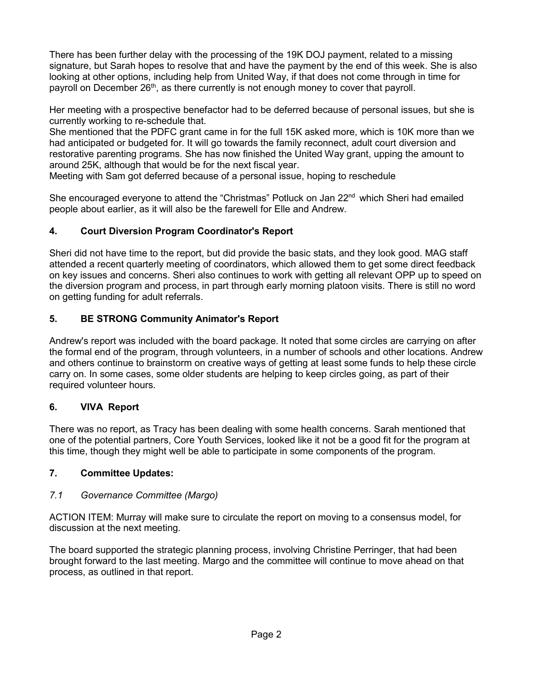There has been further delay with the processing of the 19K DOJ payment, related to a missing signature, but Sarah hopes to resolve that and have the payment by the end of this week. She is also looking at other options, including help from United Way, if that does not come through in time for payroll on December  $26<sup>th</sup>$ , as there currently is not enough money to cover that payroll.

Her meeting with a prospective benefactor had to be deferred because of personal issues, but she is currently working to re-schedule that.

She mentioned that the PDFC grant came in for the full 15K asked more, which is 10K more than we had anticipated or budgeted for. It will go towards the family reconnect, adult court diversion and restorative parenting programs. She has now finished the United Way grant, upping the amount to around 25K, although that would be for the next fiscal year.

Meeting with Sam got deferred because of a personal issue, hoping to reschedule

She encouraged everyone to attend the "Christmas" Potluck on Jan 22<sup>nd</sup> which Sheri had emailed people about earlier, as it will also be the farewell for Elle and Andrew.

## **4. Court Diversion Program Coordinator's Report**

Sheri did not have time to the report, but did provide the basic stats, and they look good. MAG staff attended a recent quarterly meeting of coordinators, which allowed them to get some direct feedback on key issues and concerns. Sheri also continues to work with getting all relevant OPP up to speed on the diversion program and process, in part through early morning platoon visits. There is still no word on getting funding for adult referrals.

## **5. BE STRONG Community Animator's Report**

Andrew's report was included with the board package. It noted that some circles are carrying on after the formal end of the program, through volunteers, in a number of schools and other locations. Andrew and others continue to brainstorm on creative ways of getting at least some funds to help these circle carry on. In some cases, some older students are helping to keep circles going, as part of their required volunteer hours.

## **6. VIVA Report**

There was no report, as Tracy has been dealing with some health concerns. Sarah mentioned that one of the potential partners, Core Youth Services, looked like it not be a good fit for the program at this time, though they might well be able to participate in some components of the program.

## **7. Committee Updates:**

## *7.1 Governance Committee (Margo)*

ACTION ITEM: Murray will make sure to circulate the report on moving to a consensus model, for discussion at the next meeting.

The board supported the strategic planning process, involving Christine Perringer, that had been brought forward to the last meeting. Margo and the committee will continue to move ahead on that process, as outlined in that report.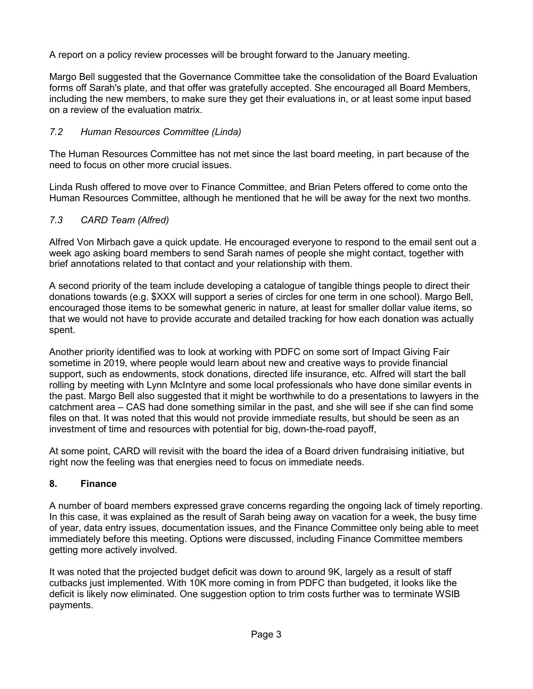A report on a policy review processes will be brought forward to the January meeting.

Margo Bell suggested that the Governance Committee take the consolidation of the Board Evaluation forms off Sarah's plate, and that offer was gratefully accepted. She encouraged all Board Members, including the new members, to make sure they get their evaluations in, or at least some input based on a review of the evaluation matrix.

# *7.2 Human Resources Committee (Linda)*

The Human Resources Committee has not met since the last board meeting, in part because of the need to focus on other more crucial issues.

Linda Rush offered to move over to Finance Committee, and Brian Peters offered to come onto the Human Resources Committee, although he mentioned that he will be away for the next two months.

# *7.3 CARD Team (Alfred)*

Alfred Von Mirbach gave a quick update. He encouraged everyone to respond to the email sent out a week ago asking board members to send Sarah names of people she might contact, together with brief annotations related to that contact and your relationship with them.

A second priority of the team include developing a catalogue of tangible things people to direct their donations towards (e.g. \$XXX will support a series of circles for one term in one school). Margo Bell, encouraged those items to be somewhat generic in nature, at least for smaller dollar value items, so that we would not have to provide accurate and detailed tracking for how each donation was actually spent.

Another priority identified was to look at working with PDFC on some sort of Impact Giving Fair sometime in 2019, where people would learn about new and creative ways to provide financial support, such as endowments, stock donations, directed life insurance, etc. Alfred will start the ball rolling by meeting with Lynn McIntyre and some local professionals who have done similar events in the past. Margo Bell also suggested that it might be worthwhile to do a presentations to lawyers in the catchment area – CAS had done something similar in the past, and she will see if she can find some files on that. It was noted that this would not provide immediate results, but should be seen as an investment of time and resources with potential for big, down-the-road payoff,

At some point, CARD will revisit with the board the idea of a Board driven fundraising initiative, but right now the feeling was that energies need to focus on immediate needs.

# **8. Finance**

A number of board members expressed grave concerns regarding the ongoing lack of timely reporting. In this case, it was explained as the result of Sarah being away on vacation for a week, the busy time of year, data entry issues, documentation issues, and the Finance Committee only being able to meet immediately before this meeting. Options were discussed, including Finance Committee members getting more actively involved.

It was noted that the projected budget deficit was down to around 9K, largely as a result of staff cutbacks just implemented. With 10K more coming in from PDFC than budgeted, it looks like the deficit is likely now eliminated. One suggestion option to trim costs further was to terminate WSIB payments.